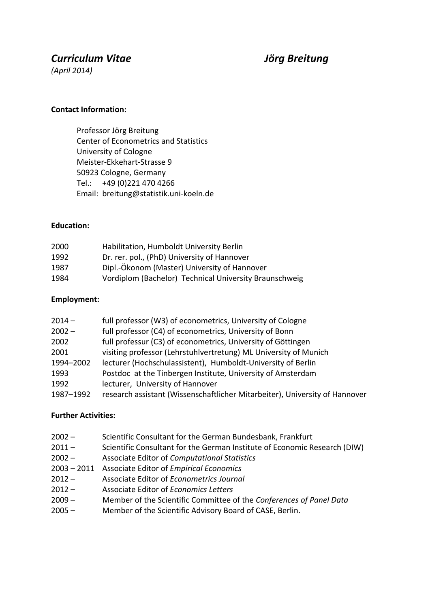# *Curriculum Vitae Jörg Breitung*

*(April 2014)*

### **Contact Information:**

Professor Jörg Breitung Center of Econometrics and Statistics University of Cologne Meister-Ekkehart-Strasse 9 50923 Cologne, Germany Tel.: +49 (0)221 470 4266 Email: breitung@statistik.uni-koeln.de

#### **Education:**

| 2000 | Habilitation, Humboldt University Berlin               |
|------|--------------------------------------------------------|
| 1992 | Dr. rer. pol., (PhD) University of Hannover            |
| 1987 | Dipl.-Ökonom (Master) University of Hannover           |
| 1984 | Vordiplom (Bachelor) Technical University Braunschweig |

#### **Employment:**

| $2014 -$  | full professor (W3) of econometrics, University of Cologne                  |
|-----------|-----------------------------------------------------------------------------|
| $2002 -$  | full professor (C4) of econometrics, University of Bonn                     |
| 2002      | full professur (C3) of econometrics, University of Göttingen                |
| 2001      | visiting professor (Lehrstuhlvertretung) ML University of Munich            |
| 1994-2002 | lecturer (Hochschulassistent), Humboldt-University of Berlin                |
| 1993      | Postdoc at the Tinbergen Institute, University of Amsterdam                 |
| 1992      | lecturer, University of Hannover                                            |
| 1987-1992 | research assistant (Wissenschaftlicher Mitarbeiter), University of Hannover |
|           |                                                                             |

### **Further Activities:**

- 2002 Scientific Consultant for the German Bundesbank, Frankfurt
- 2011 Scientific Consultant for the German Institute of Economic Research (DIW)
- 2002 Associate Editor of *Computational Statistics*
- 2003 2011 Associate Editor of *Empirical Economics*
- 2012 Associate Editor of *Econometrics Journal*
- 2012 Associate Editor of *Economics Letters*
- 2009 Member of the Scientific Committee of the *Conferences of Panel Data*
- 2005 Member of the Scientific Advisory Board of CASE, Berlin.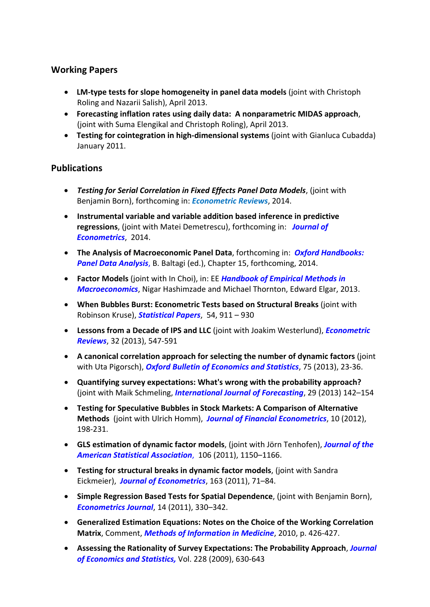# **Working Papers**

- **LM-type tests for slope homogeneity in panel data models** (joint with Christoph Roling and Nazarii Salish), April 2013.
- **Forecasting inflation rates using daily data: A nonparametric MIDAS approach**, (joint with Suma Elengikal and Christoph Roling), April 2013.
- **Testing for cointegration in high-dimensional systems** (joint with Gianluca Cubadda) January 2011.

## **Publications**

- *Testing for Serial Correlation in Fixed Effects Panel Data Models*, (joint with Benjamin Born), forthcoming in: *Econometric Reviews*, 2014.
- **Instrumental variable and variable addition based inference in predictive regressions**, (joint with Matei Demetrescu), forthcoming in: *Journal of Econometrics*, 2014.
- **The Analysis of Macroeconomic Panel Data**, forthcoming in: *Oxford Handbooks: Panel Data Analysis*, B. Baltagi (ed.), Chapter 15, forthcoming, 2014.
- **Factor Models** (joint with In Choi), in: EE *Handbook of Empirical Methods in Macroeconomics*, Nigar Hashimzade and Michael Thornton, Edward Elgar, 2013.
- **When Bubbles Burst: Econometric Tests based on Structural Breaks** (joint with Robinson Kruse), *Statistical Papers*, 54, 911 – 930
- **Lessons from a Decade of IPS and LLC** (joint with Joakim Westerlund), *Econometric Reviews*, 32 (2013), 547-591
- **A canonical correlation approach for selecting the number of dynamic factors** (joint with Uta Pigorsch), *Oxford Bulletin of Economics and Statistics*, 75 (2013), 23-36.
- **Quantifying survey expectations: What's wrong with the probability approach?** (joint with Maik Schmeling, *International Journal of Forecasting*, 29 (2013) 142–154
- **Testing for Speculative Bubbles in Stock Markets: A Comparison of Alternative Methods** (joint with Ulrich Homm), *Journal of Financial Econometrics*, 10 (2012), 198-231.
- **GLS estimation of dynamic factor models**, (joint with Jörn Tenhofen), *Journal of the American Statistical Association*, 106 (2011), 1150–1166.
- **Testing for structural breaks in dynamic factor models**, (joint with Sandra Eickmeier), *Journal of Econometrics*, 163 (2011), 71–84.
- **Simple Regression Based Tests for Spatial Dependence**, (joint with Benjamin Born), *Econometrics Journal*, 14 (2011), 330–342.
- **Generalized Estimation Equations: Notes on the Choice of the Working Correlation Matrix**, Comment, *Methods of Information in Medicine*, 2010, p. 426-427.
- **Assessing the Rationality of Survey Expectations: The Probability Approach**, *Journal of Economics and Statistics,* Vol. 228 (2009), 630-643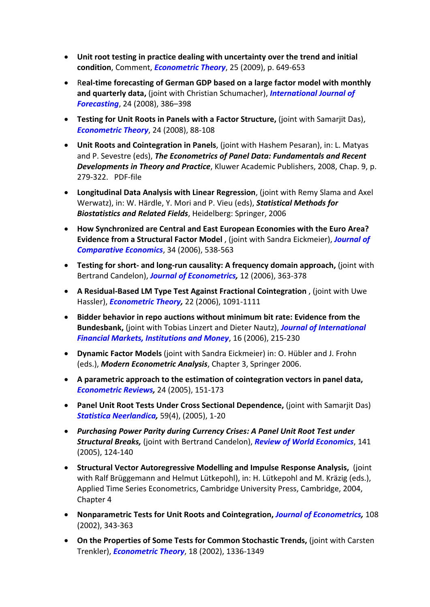- **Unit root testing in practice dealing with uncertainty over the trend and initial condition**, Comment, *Econometric Theory*, 25 (2009), p. 649-653
- R**eal-time forecasting of German GDP based on a large factor model with monthly and quarterly data,** (joint with Christian Schumacher), *International Journal of Forecasting*, 24 (2008), 386–398
- **Testing for Unit Roots in Panels with a Factor Structure,** (joint with Samarjit Das), *Econometric Theory*, 24 (2008), 88-108
- **Unit Roots and Cointegration in Panels**, (joint with Hashem Pesaran), in: L. Matyas and P. Sevestre (eds), *The Econometrics of Panel Data: Fundamentals and Recent Developments in Theory and Practice*, Kluwer Academic Publishers, 2008, Chap. 9, p. 279-322. PDF-file
- **Longitudinal Data Analysis with Linear Regression**, (joint with Remy Slama and Axel Werwatz), in: W. Härdle, Y. Mori and P. Vieu (eds), *Statistical Methods for Biostatistics and Related Fields*, Heidelberg: Springer, 2006
- **How Synchronized are Central and East European Economies with the Euro Area? Evidence from a Structural Factor Model** , (joint with Sandra Eickmeier), *Journal of Comparative Economics*, 34 (2006), 538-563
- **Testing for short- and long-run causality: A frequency domain approach,** (joint with Bertrand Candelon), *Journal of Econometrics,* 12 (2006), 363-378
- **A Residual-Based LM Type Test Against Fractional Cointegration** , (joint with Uwe Hassler), *Econometric Theory,* 22 (2006), 1091-1111
- **Bidder behavior in repo auctions without minimum bit rate: Evidence from the Bundesbank,** (joint with Tobias Linzert and Dieter Nautz), *Journal of International Financial Markets, Institutions and Money*, 16 (2006), 215-230
- **Dynamic Factor Models** (joint with Sandra Eickmeier) in: O. Hübler and J. Frohn (eds.), *Modern Econometric Analysis*, Chapter 3, Springer 2006.
- **A parametric approach to the estimation of cointegration vectors in panel data,**  *Econometric Reviews,* 24 (2005), 151-173
- **Panel Unit Root Tests Under Cross Sectional Dependence,** (joint with Samarjit Das) *Statistica Neerlandica,* 59(4), (2005), 1-20
- *Purchasing Power Parity during Currency Crises: A Panel Unit Root Test under Structural Breaks,* (joint with Bertrand Candelon), *Review of World Economics*, 141 (2005), 124-140
- **Structural Vector Autoregressive Modelling and Impulse Response Analysis,** (joint with Ralf Brüggemann and Helmut Lütkepohl), in: H. Lütkepohl and M. Kräzig (eds.), Applied Time Series Econometrics, Cambridge University Press, Cambridge, 2004, Chapter 4
- **Nonparametric Tests for Unit Roots and Cointegration,** *Journal of Econometrics,* 108 (2002), 343-363
- **On the Properties of Some Tests for Common Stochastic Trends,** (joint with Carsten Trenkler), *Econometric Theory*, 18 (2002), 1336-1349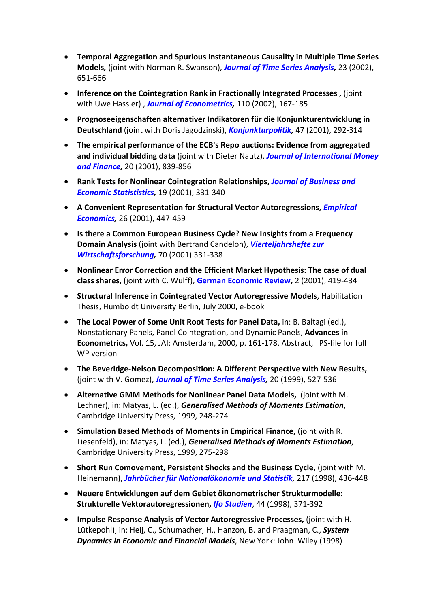- **Temporal Aggregation and Spurious Instantaneous Causality in Multiple Time Series Models***,* (joint with Norman R. Swanson), *Journal of Time Series Analysis,* 23 (2002), 651-666
- **Inference on the Cointegration Rank in Fractionally Integrated Processes ,** (joint with Uwe Hassler) , *Journal of Econometrics,* 110 (2002), 167-185
- **Prognoseeigenschaften alternativer Indikatoren für die Konjunkturentwicklung in Deutschland** (joint with Doris Jagodzinski), *Konjunkturpolitik,* 47 (2001), 292-314
- **The empirical performance of the ECB's Repo auctions: Evidence from aggregated and individual bidding data** (joint with Dieter Nautz), *Journal of International Money and Finance,* 20 (2001), 839-856
- **Rank Tests for Nonlinear Cointegration Relationships,** *Journal of Business and Economic Statististics,* 19 (2001), 331-340
- **A Convenient Representation for Structural Vector Autoregressions,** *Empirical Economics,* 26 (2001), 447-459
- **Is there a Common European Business Cycle? New Insights from a Frequency Domain Analysis** (joint with Bertrand Candelon), *Vierteljahrshefte zur Wirtschaftsforschung,* 70 (2001) 331-338
- **Nonlinear Error Correction and the Efficient Market Hypothesis: The case of dual class shares,** (joint with C. Wulff), **German Economic Review,** 2 (2001), 419-434
- **Structural Inference in Cointegrated Vector Autoregressive Models**, Habilitation Thesis, Humboldt University Berlin, July 2000, e-book
- **The Local Power of Some Unit Root Tests for Panel Data,** in: B. Baltagi (ed.), Nonstationary Panels, Panel Cointegration, and Dynamic Panels, **Advances in Econometrics,** Vol. 15, JAI: Amsterdam, 2000, p. 161-178. Abstract, PS-file for full WP version
- **The Beveridge-Nelson Decomposition: A Different Perspective with New Results,**  (joint with V. Gomez), *Journal of Time Series Analysis,* 20 (1999), 527-536
- **Alternative GMM Methods for Nonlinear Panel Data Models,** (joint with M. Lechner), in: Matyas, L. (ed.), *Generalised Methods of Moments Estimation*, Cambridge University Press, 1999, 248-274
- **Simulation Based Methods of Moments in Empirical Finance,** (joint with R. Liesenfeld), in: Matyas, L. (ed.), *Generalised Methods of Moments Estimation*, Cambridge University Press, 1999, 275-298
- **Short Run Comovement, Persistent Shocks and the Business Cycle,** (joint with M. Heinemann), *Jahrbücher für Nationalökonomie und Statistik,* 217 (1998), 436-448
- **Neuere Entwicklungen auf dem Gebiet ökonometrischer Strukturmodelle: Strukturelle Vektorautoregressionen,** *Ifo Studien*, 44 (1998), 371-392
- **Impulse Response Analysis of Vector Autoregressive Processes,** (joint with H. Lütkepohl), in: Heij, C., Schumacher, H., Hanzon, B. and Praagman, C., *System Dynamics in Economic and Financial Models*, New York: John Wiley (1998)